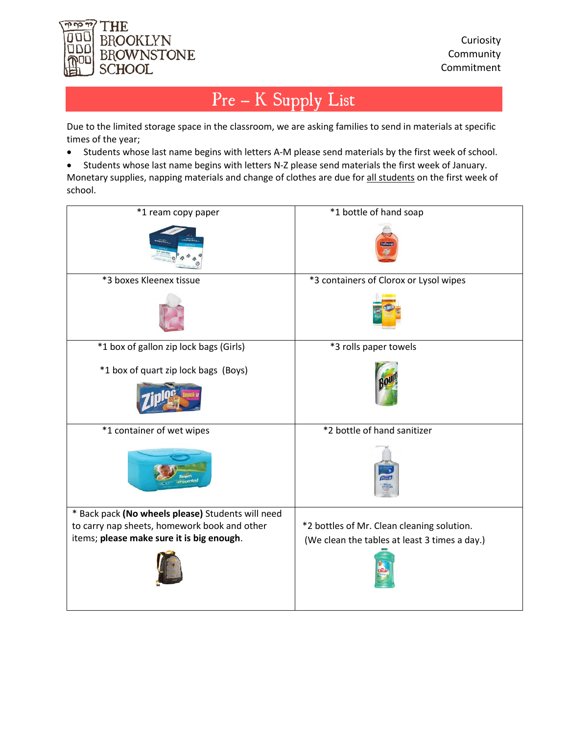

## Pre – K Supply List

Due to the limited storage space in the classroom, we are asking families to send in materials at specific times of the year;

- Students whose last name begins with letters A-M please send materials by the first week of school.
- Students whose last name begins with letters N-Z please send materials the first week of January. Monetary supplies, napping materials and change of clothes are due for all students on the first week of school.

| *1 ream copy paper                                                                                | *1 bottle of hand soap                        |
|---------------------------------------------------------------------------------------------------|-----------------------------------------------|
|                                                                                                   |                                               |
| *3 boxes Kleenex tissue                                                                           | *3 containers of Clorox or Lysol wipes        |
|                                                                                                   |                                               |
| *1 box of gallon zip lock bags (Girls)                                                            | *3 rolls paper towels                         |
| *1 box of quart zip lock bags (Boys)                                                              |                                               |
| *1 container of wet wipes                                                                         | *2 bottle of hand sanitizer                   |
|                                                                                                   |                                               |
| * Back pack (No wheels please) Students will need<br>to carry nap sheets, homework book and other | *2 bottles of Mr. Clean cleaning solution.    |
| items; please make sure it is big enough.                                                         | (We clean the tables at least 3 times a day.) |
|                                                                                                   |                                               |